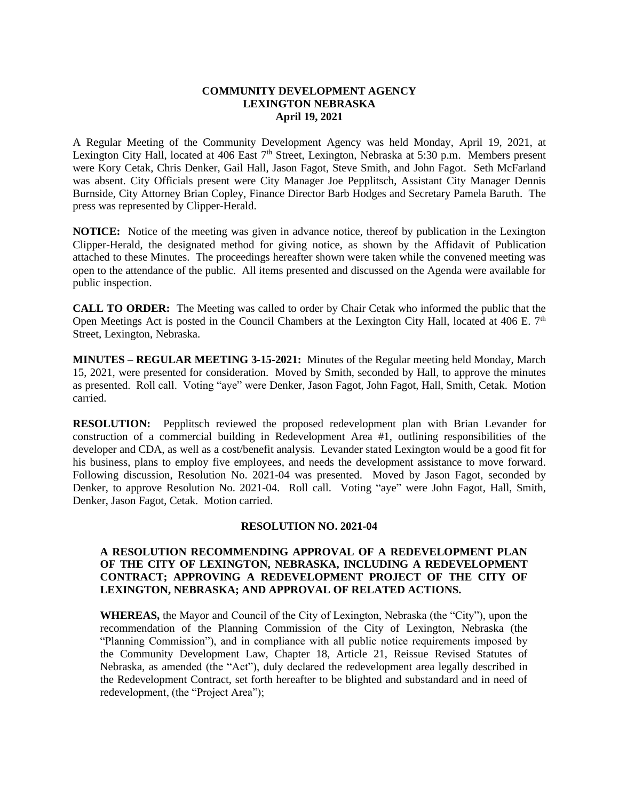## **COMMUNITY DEVELOPMENT AGENCY LEXINGTON NEBRASKA April 19, 2021**

A Regular Meeting of the Community Development Agency was held Monday, April 19, 2021, at Lexington City Hall, located at 406 East 7<sup>th</sup> Street, Lexington, Nebraska at 5:30 p.m. Members present were Kory Cetak, Chris Denker, Gail Hall, Jason Fagot, Steve Smith, and John Fagot. Seth McFarland was absent. City Officials present were City Manager Joe Pepplitsch, Assistant City Manager Dennis Burnside, City Attorney Brian Copley, Finance Director Barb Hodges and Secretary Pamela Baruth. The press was represented by Clipper-Herald.

**NOTICE:** Notice of the meeting was given in advance notice, thereof by publication in the Lexington Clipper-Herald, the designated method for giving notice, as shown by the Affidavit of Publication attached to these Minutes. The proceedings hereafter shown were taken while the convened meeting was open to the attendance of the public. All items presented and discussed on the Agenda were available for public inspection.

**CALL TO ORDER:** The Meeting was called to order by Chair Cetak who informed the public that the Open Meetings Act is posted in the Council Chambers at the Lexington City Hall, located at 406 E.  $7<sup>th</sup>$ Street, Lexington, Nebraska.

**MINUTES – REGULAR MEETING 3-15-2021:** Minutes of the Regular meeting held Monday, March 15, 2021, were presented for consideration. Moved by Smith, seconded by Hall, to approve the minutes as presented. Roll call. Voting "aye" were Denker, Jason Fagot, John Fagot, Hall, Smith, Cetak. Motion carried.

**RESOLUTION:** Pepplitsch reviewed the proposed redevelopment plan with Brian Levander for construction of a commercial building in Redevelopment Area #1, outlining responsibilities of the developer and CDA, as well as a cost/benefit analysis. Levander stated Lexington would be a good fit for his business, plans to employ five employees, and needs the development assistance to move forward. Following discussion, Resolution No. 2021-04 was presented. Moved by Jason Fagot, seconded by Denker, to approve Resolution No. 2021-04. Roll call. Voting "aye" were John Fagot, Hall, Smith, Denker, Jason Fagot, Cetak. Motion carried.

## **RESOLUTION NO. 2021-04**

# **A RESOLUTION RECOMMENDING APPROVAL OF A REDEVELOPMENT PLAN OF THE CITY OF LEXINGTON, NEBRASKA, INCLUDING A REDEVELOPMENT CONTRACT; APPROVING A REDEVELOPMENT PROJECT OF THE CITY OF LEXINGTON, NEBRASKA; AND APPROVAL OF RELATED ACTIONS.**

**WHEREAS,** the Mayor and Council of the City of Lexington, Nebraska (the "City"), upon the recommendation of the Planning Commission of the City of Lexington, Nebraska (the "Planning Commission"), and in compliance with all public notice requirements imposed by the Community Development Law, Chapter 18, Article 21, Reissue Revised Statutes of Nebraska, as amended (the "Act"), duly declared the redevelopment area legally described in the Redevelopment Contract, set forth hereafter to be blighted and substandard and in need of redevelopment, (the "Project Area");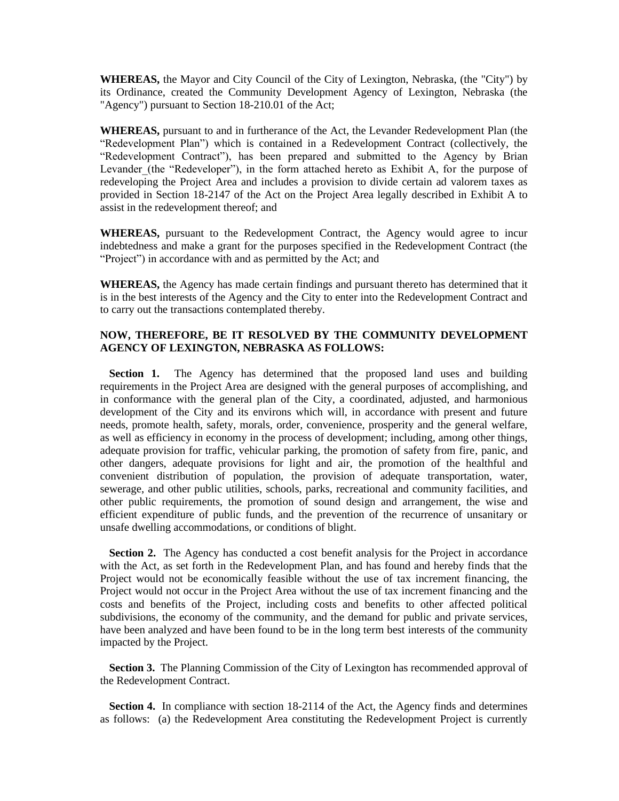**WHEREAS,** the Mayor and City Council of the City of Lexington, Nebraska, (the "City") by its Ordinance, created the Community Development Agency of Lexington, Nebraska (the "Agency") pursuant to Section 18-210.01 of the Act;

**WHEREAS,** pursuant to and in furtherance of the Act, the Levander Redevelopment Plan (the "Redevelopment Plan") which is contained in a Redevelopment Contract (collectively, the "Redevelopment Contract"), has been prepared and submitted to the Agency by Brian Levander (the "Redeveloper"), in the form attached hereto as Exhibit A, for the purpose of redeveloping the Project Area and includes a provision to divide certain ad valorem taxes as provided in Section 18-2147 of the Act on the Project Area legally described in Exhibit A to assist in the redevelopment thereof; and

**WHEREAS,** pursuant to the Redevelopment Contract, the Agency would agree to incur indebtedness and make a grant for the purposes specified in the Redevelopment Contract (the "Project") in accordance with and as permitted by the Act; and

**WHEREAS,** the Agency has made certain findings and pursuant thereto has determined that it is in the best interests of the Agency and the City to enter into the Redevelopment Contract and to carry out the transactions contemplated thereby.

## **NOW, THEREFORE, BE IT RESOLVED BY THE COMMUNITY DEVELOPMENT AGENCY OF LEXINGTON, NEBRASKA AS FOLLOWS:**

**Section 1.** The Agency has determined that the proposed land uses and building requirements in the Project Area are designed with the general purposes of accomplishing, and in conformance with the general plan of the City, a coordinated, adjusted, and harmonious development of the City and its environs which will, in accordance with present and future needs, promote health, safety, morals, order, convenience, prosperity and the general welfare, as well as efficiency in economy in the process of development; including, among other things, adequate provision for traffic, vehicular parking, the promotion of safety from fire, panic, and other dangers, adequate provisions for light and air, the promotion of the healthful and convenient distribution of population, the provision of adequate transportation, water, sewerage, and other public utilities, schools, parks, recreational and community facilities, and other public requirements, the promotion of sound design and arrangement, the wise and efficient expenditure of public funds, and the prevention of the recurrence of unsanitary or unsafe dwelling accommodations, or conditions of blight.

**Section 2.** The Agency has conducted a cost benefit analysis for the Project in accordance with the Act, as set forth in the Redevelopment Plan, and has found and hereby finds that the Project would not be economically feasible without the use of tax increment financing, the Project would not occur in the Project Area without the use of tax increment financing and the costs and benefits of the Project, including costs and benefits to other affected political subdivisions, the economy of the community, and the demand for public and private services, have been analyzed and have been found to be in the long term best interests of the community impacted by the Project.

**Section 3.** The Planning Commission of the City of Lexington has recommended approval of the Redevelopment Contract.

**Section 4.** In compliance with section 18-2114 of the Act, the Agency finds and determines as follows: (a) the Redevelopment Area constituting the Redevelopment Project is currently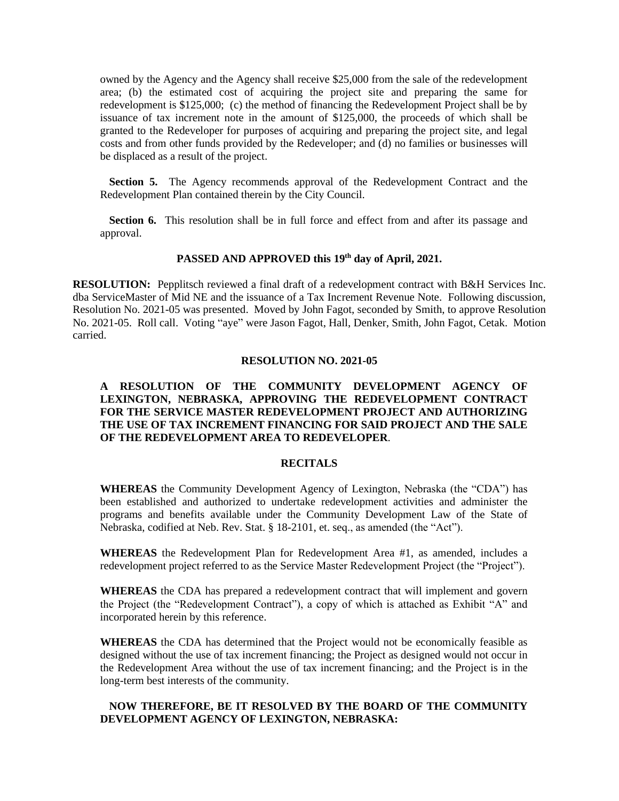owned by the Agency and the Agency shall receive \$25,000 from the sale of the redevelopment area; (b) the estimated cost of acquiring the project site and preparing the same for redevelopment is \$125,000; (c) the method of financing the Redevelopment Project shall be by issuance of tax increment note in the amount of \$125,000, the proceeds of which shall be granted to the Redeveloper for purposes of acquiring and preparing the project site, and legal costs and from other funds provided by the Redeveloper; and (d) no families or businesses will be displaced as a result of the project.

**Section 5.** The Agency recommends approval of the Redevelopment Contract and the Redevelopment Plan contained therein by the City Council.

**Section 6.** This resolution shall be in full force and effect from and after its passage and approval.

# **PASSED AND APPROVED this 19th day of April, 2021.**

**RESOLUTION:** Pepplitsch reviewed a final draft of a redevelopment contract with B&H Services Inc. dba ServiceMaster of Mid NE and the issuance of a Tax Increment Revenue Note. Following discussion, Resolution No. 2021-05 was presented. Moved by John Fagot, seconded by Smith, to approve Resolution No. 2021-05. Roll call. Voting "aye" were Jason Fagot, Hall, Denker, Smith, John Fagot, Cetak. Motion carried.

#### **RESOLUTION NO. 2021-05**

## **A RESOLUTION OF THE COMMUNITY DEVELOPMENT AGENCY OF LEXINGTON, NEBRASKA, APPROVING THE REDEVELOPMENT CONTRACT FOR THE SERVICE MASTER REDEVELOPMENT PROJECT AND AUTHORIZING THE USE OF TAX INCREMENT FINANCING FOR SAID PROJECT AND THE SALE OF THE REDEVELOPMENT AREA TO REDEVELOPER**.

#### **RECITALS**

**WHEREAS** the Community Development Agency of Lexington, Nebraska (the "CDA") has been established and authorized to undertake redevelopment activities and administer the programs and benefits available under the Community Development Law of the State of Nebraska, codified at Neb. Rev. Stat. § 18-2101, et. seq., as amended (the "Act").

**WHEREAS** the Redevelopment Plan for Redevelopment Area #1, as amended, includes a redevelopment project referred to as the Service Master Redevelopment Project (the "Project").

**WHEREAS** the CDA has prepared a redevelopment contract that will implement and govern the Project (the "Redevelopment Contract"), a copy of which is attached as Exhibit "A" and incorporated herein by this reference.

**WHEREAS** the CDA has determined that the Project would not be economically feasible as designed without the use of tax increment financing; the Project as designed would not occur in the Redevelopment Area without the use of tax increment financing; and the Project is in the long-term best interests of the community.

## **NOW THEREFORE, BE IT RESOLVED BY THE BOARD OF THE COMMUNITY DEVELOPMENT AGENCY OF LEXINGTON, NEBRASKA:**